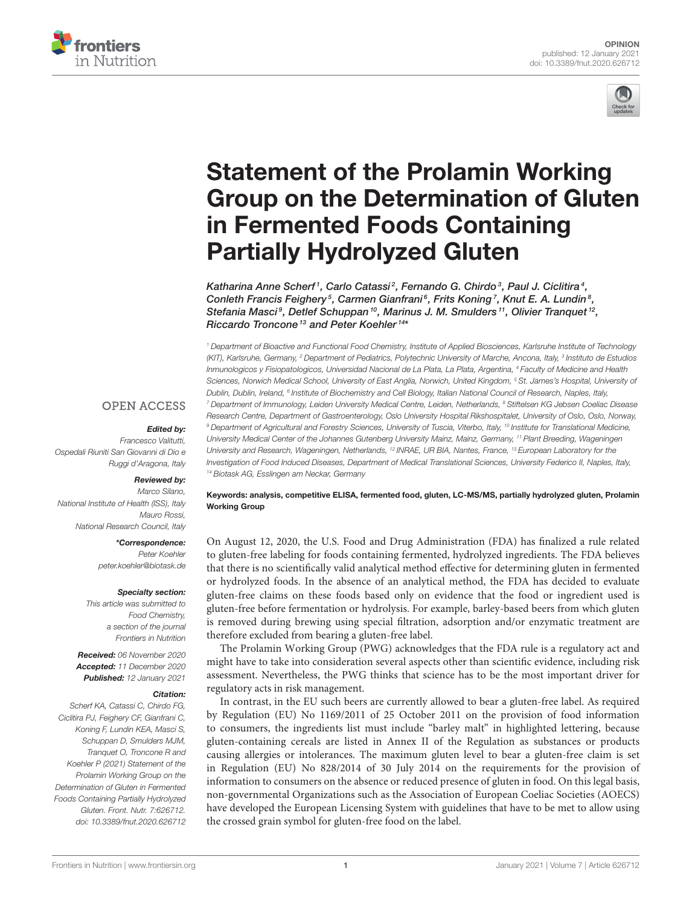



# Statement of the Prolamin Working [Group on the Determination of Gluten](https://www.frontiersin.org/articles/10.3389/fnut.2020.626712/full) in Fermented Foods Containing Partially Hydrolyzed Gluten

Katharina Anne Scherf1, Carlo Catassi<sup>2</sup>, Fernando G. Chirdo<sup>3</sup>, Paul J. Ciclitira<sup>4</sup>, Conleth Francis Feighery<sup>5</sup>, Carmen Gianfrani<sup>6</sup>, Frits Koning<sup>7</sup>, Knut E. A. Lundin<sup>8</sup>, Stefania Masci<sup>9</sup>, Detlef Schuppan<sup>10</sup>, Marinus J. M. Smulders<sup>11</sup>, Olivier Tranquet<sup>12</sup>, Riccardo Troncone<sup>13</sup> and Peter Koehler<sup>14\*</sup>

*<sup>1</sup> Department of Bioactive and Functional Food Chemistry, Institute of Applied Biosciences, Karlsruhe Institute of Technology (KIT), Karlsruhe, Germany, <sup>2</sup> Department of Pediatrics, Polytechnic University of Marche, Ancona, Italy, <sup>3</sup> Instituto de Estudios Inmunologicos y Fisiopatologicos, Universidad Nacional de La Plata, La Plata, Argentina, <sup>4</sup> Faculty of Medicine and Health Sciences, Norwich Medical School, University of East Anglia, Norwich, United Kingdom, <sup>5</sup> St. James's Hospital, University of Dublin, Dublin, Ireland, <sup>6</sup> Institute of Biochemistry and Cell Biology, Italian National Council of Research, Naples, Italy, <sup>7</sup> Department of Immunology, Leiden University Medical Centre, Leiden, Netherlands, <sup>8</sup> Stiftelsen KG Jebsen Coeliac Disease Research Centre, Department of Gastroenterology, Oslo University Hospital Rikshospitalet, University of Oslo, Oslo, Norway, <sup>9</sup> Department of Agricultural and Forestry Sciences, University of Tuscia, Viterbo, Italy, <sup>10</sup> Institute for Translational Medicine, University Medical Center of the Johannes Gutenberg University Mainz, Mainz, Germany, <sup>11</sup> Plant Breeding, Wageningen University and Research, Wageningen, Netherlands, <sup>12</sup> INRAE, UR BIA, Nantes, France, <sup>13</sup> European Laboratory for the Investigation of Food Induced Diseases, Department of Medical Translational Sciences, University Federico II, Naples, Italy, <sup>14</sup> Biotask AG, Esslingen am Neckar, Germany*

## **OPEN ACCESS**

#### Edited by:

*Francesco Valitutti, Ospedali Riuniti San Giovanni di Dio e Ruggi d'Aragona, Italy*

### Reviewed by:

*Marco Silano, National Institute of Health (ISS), Italy Mauro Rossi, National Research Council, Italy*

> \*Correspondence: *Peter Koehler [peter.koehler@biotask.de](mailto:peter.koehler@biotask.de)*

#### Specialty section:

*This article was submitted to Food Chemistry, a section of the journal Frontiers in Nutrition*

Received: *06 November 2020* Accepted: *11 December 2020* Published: *12 January 2021*

#### Citation:

*Scherf KA, Catassi C, Chirdo FG, Ciclitira PJ, Feighery CF, Gianfrani C, Koning F, Lundin KEA, Masci S, Schuppan D, Smulders MJM, Tranquet O, Troncone R and Koehler P (2021) Statement of the Prolamin Working Group on the Determination of Gluten in Fermented Foods Containing Partially Hydrolyzed Gluten. Front. Nutr. 7:626712. doi: [10.3389/fnut.2020.626712](https://doi.org/10.3389/fnut.2020.626712)*

Keywords: analysis, competitive ELISA, fermented food, gluten, LC-MS/MS, partially hydrolyzed gluten, Prolamin Working Group

On August 12, 2020, the U.S. Food and Drug Administration (FDA) has finalized a rule related to gluten-free labeling for foods containing fermented, hydrolyzed ingredients. The FDA believes that there is no scientifically valid analytical method effective for determining gluten in fermented or hydrolyzed foods. In the absence of an analytical method, the FDA has decided to evaluate gluten-free claims on these foods based only on evidence that the food or ingredient used is gluten-free before fermentation or hydrolysis. For example, barley-based beers from which gluten is removed during brewing using special filtration, adsorption and/or enzymatic treatment are therefore excluded from bearing a gluten-free label.

The Prolamin Working Group (PWG) acknowledges that the FDA rule is a regulatory act and might have to take into consideration several aspects other than scientific evidence, including risk assessment. Nevertheless, the PWG thinks that science has to be the most important driver for regulatory acts in risk management.

In contrast, in the EU such beers are currently allowed to bear a gluten-free label. As required by Regulation (EU) No 1169/2011 of 25 October 2011 on the provision of food information to consumers, the ingredients list must include "barley malt" in highlighted lettering, because gluten-containing cereals are listed in Annex II of the Regulation as substances or products causing allergies or intolerances. The maximum gluten level to bear a gluten-free claim is set in Regulation (EU) No 828/2014 of 30 July 2014 on the requirements for the provision of information to consumers on the absence or reduced presence of gluten in food. On this legal basis, non-governmental Organizations such as the Association of European Coeliac Societies (AOECS) have developed the European Licensing System with guidelines that have to be met to allow using the crossed grain symbol for gluten-free food on the label.